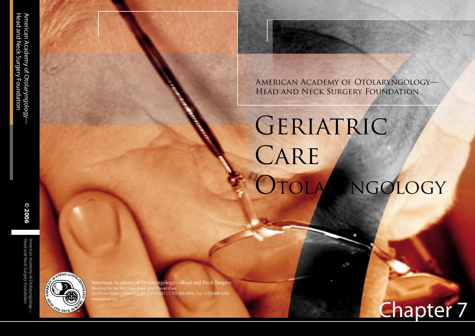American Academy of Otolaryngology— Head and Neck Surgery Foundation

# GERIATRIC CARE OTOLA NGOLOGY



American Academy of Otolaryngology—Head and Neck Surgery *Working for the Best Ear, Nose, and Throat Care* One Prince Street | Alexandria, VA 22314-3357 | 1-703-836-4444 | Fax: 1-703-684-4288

Sleep Disorders Chapter 7

130

© 2006

Head and Neck Surgery Foundation American Academy of Otolaryngology— **© 2006**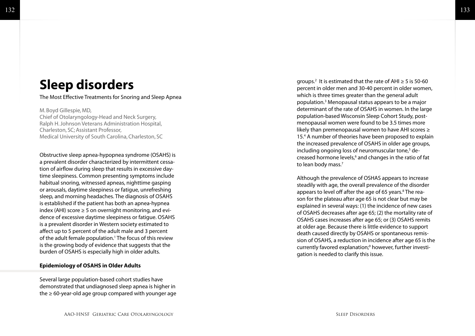# **Sleep disorders**

The Most Effective Treatments for Snoring and Sleep Apnea

M. Boyd Gillespie, MD, Chief of Otolaryngology-Head and Neck Surgery, Ralph H. Johnson Veterans Administration Hospital, Charleston, SC; Assistant Professor, Medical University of South Carolina, Charleston, SC

Obstructive sleep apnea-hypopnea syndrome (OSAHS) is a prevalent disorder characterized by intermittent cessa tion of airflow during sleep that results in excessive day time sleepiness. Common presenting symptoms include habitual snoring, witnessed apneas, nighttime gasping or arousals, daytime sleepiness or fatigue, unrefreshing sleep, and morning headaches. The diagnosis of OSAHS is established if the patient has both an apnea-hypnea index (AHI) score ≥ 5 on overnight monitoring, and evi dence of excessive daytime sleepiness or fatigue. OSAHS is a prevalent disorder in Western society estimated to affect up to 5 percent of the adult male and 3 percent of the adult female population. 1 The focus of this review is the growing body of evidence that suggests that the burden of OSAHS is especially high in older adults.

# **Epidemiology of OSAHS in Older Adults**

Several large population-based cohort studies have demonstrated that undiagnosed sleep apnea is higher in the  $\geq 60$ -year-old age group compared with younger age

groups.<sup>2</sup> It is estimated that the rate of AHI  $\geq$  5 is 50-60 percent in older men and 30-40 percent in older women, which is three times greater than the general adult population. 3 Menopausal status appears to be a major determinant of the rate of OSAHS in women. In the large population-based Wisconsin Sleep Cohort Study, post menopausal women were found to be 3.5 times more likely than premenopausal women to have AHI scores ≥ 15. 4 A number of theories have been proposed to explain the increased prevalence of OSAHS in older age groups, including ongoing loss of neuromuscular tone,<sup>5</sup> decreased hormone levels, 6 and changes in the ratio of fat to lean body mass. 7

Although the prevalence of OSHAS appears to increase steadily with age, the overall prevalence of the disorder appears to level off after the age of 65 years.<sup>8</sup> The reason for the plateau after age 65 is not clear but may be explained in several ways: (1) the incidence of new cases of OSAHS decreases after age 65; (2) the mortality rate of OSAHS cases increases after age 65; or (3) OSAHS remits at older age. Because there is little evidence to support death caused directly by OSAHS or spontaneous remis sion of OSAHS, a reduction in incidence after age 65 is the currently favored explanation; 9 however, further investi gation is needed to clarify this issue.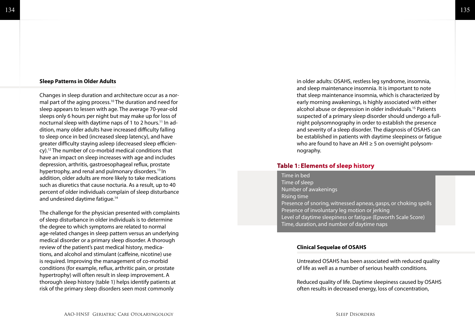### 134

# **Sleep Patterns in Older Adults**

Changes in sleep duration and architecture occur as a normal part of the aging process.10 The duration and need for sleep appears to lessen with age. The average 70-year-old sleeps only 6 hours per night but may make up for loss of nocturnal sleep with daytime naps of 1 to 2 hours.<sup>11</sup> In addition, many older adults have increased difficulty falling to sleep once in bed (increased sleep latency), and have greater difficulty staying asleep (decreased sleep efficiency).12 The number of co-morbid medical conditions that have an impact on sleep increases with age and includes depression, arthritis, gastroesophageal reflux, prostate hypertrophy, and renal and pulmonary disorders.<sup>13</sup> In addition, older adults are more likely to take medications such as diuretics that cause nocturia. As a result, up to 40 percent of older individuals complain of sleep disturbance and undesired daytime fatigue.14

The challenge for the physician presented with complaints of sleep disturbance in older individuals is to determine the degree to which symptoms are related to normal age-related changes in sleep pattern versus an underlying medical disorder or a primary sleep disorder. A thorough review of the patient's past medical history, medications, and alcohol and stimulant (caffeine, nicotine) use is required. Improving the management of co-morbid conditions (for example, reflux, arthritic pain, or prostate hypertrophy) will often result in sleep improvement. A thorough sleep history (table 1) helps identify patients at risk of the primary sleep disorders seen most commonly

in older adults: OSAHS, restless leg syndrome, insomnia, and sleep maintenance insomnia. It is important to note that sleep maintenance insomnia, which is characterized by early morning awakenings, is highly associated with either alcohol abuse or depression in older individuals.15 Patients suspected of a primary sleep disorder should undergo a fullnight polysomnography in order to establish the presence and severity of a sleep disorder. The diagnosis of OSAHS can be established in patients with daytime sleepiness or fatigue who are found to have an AHI ≥ 5 on overnight polysomnography.

# **Table 1: Elements of sleep history**

Time in bed Time of sleep Number of awakenings Rising time Presence of snoring, witnessed apneas, gasps, or choking spells Presence of involuntary leg motion or jerking Level of daytime sleepiness or fatigue (Epworth Scale Score) Time, duration, and number of daytime naps

# **Clinical Sequelae of OSAHS**

Untreated OSAHS has been associated with reduced quality of life as well as a number of serious health conditions.

Reduced quality of life. Daytime sleepiness caused by OSAHS often results in decreased energy, loss of concentration,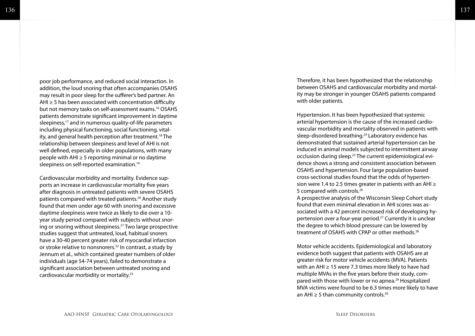poor job performance, and reduced social interaction. In addition, the loud snoring that often accompanies OSAHS may result in poor sleep for the sufferer's bed partner. An AHI  $\geq$  5 has been associated with concentration difficulty but not memory tasks on self-assessment exams.16 OSAHS patients demonstrate significant improvement in daytime sleepiness,<sup>17</sup> and in numerous quality-of-life parameters including physical functioning, social functioning, vital ity, and general health perception after treatment.<sup>18</sup> The relationship between sleepiness and level of AHI is not well defined, especially in older populations, with many people with AHI ≥ 5 reporting minimal or no daytime sleepiness on self-reported examination.<sup>19</sup>

Cardiovascular morbidity and mortality. Evidence sup ports an increase in cardiovascular mortality five years after diagnosis in untreated patients with severe OSAHS patients compared with treated patients.<sup>20</sup> Another study found that men under age 60 with snoring and excessive daytime sleepiness were twice as likely to die over a 10 year study period compared with subjects without snor ing or snoring without sleepiness.21 Two large prospective studies suggest that untreated, loud, habitual snorers have a 30-40 percent greater risk of myocardial infarction or stroke relative to nonsnorers.<sup>22</sup> In contrast, a study by Jennum et al., which contained greater numbers of older individuals (age 54-74 years), failed to demonstrate a significant association between untreated snoring and cardiovascular morbidity or mortality.23

Therefore, it has been hypothesized that the relationship between OSAHS and cardiovascular morbidity and mortal ity may be stronger in younger OSAHS patients compared with older patients.

Hypertension. It has been hypothesized that systemic arterial hypertension is the cause of the increased cardio vascular morbidity and mortality observed in patients with sleep-disordered breathing.24 Laboratory evidence has demonstrated that sustained arterial hypertension can be induced in animal models subjected to intermittent airway occlusion during sleep.<sup>25</sup> The current epidemiological evidence shows a strong and consistent association between OSAHS and hypertension. Four large population-based cross-sectional studies found that the odds of hyperten sion were 1.4 to 2.5 times greater in patients with an AHI ≥ 5 compared with controls.26

A prospective analysis of the Wisconsin Sleep Cohort study found that even minimal elevation in AHI scores was as sociated with a 42 percent increased risk of developing hy pertension over a four-year period.27 Currently it is unclear the degree to which blood pressure can be lowered by treatment of OSAHS with CPAP or other methods.28

Motor vehicle accidents. Epidemiological and laboratory evidence both suggest that patients with OSAHS are at greater risk for motor vehicle accidents (MVA). Patients with an AHI ≥ 15 were 7.3 times more likely to have had multiple MVAs in the five years before their study, com pared with those with lower or no apnea.<sup>29</sup> Hospitalized MVA victims were found to be 6.3 times more likely to have an AHI  $\geq$  5 than community controls.<sup>30</sup>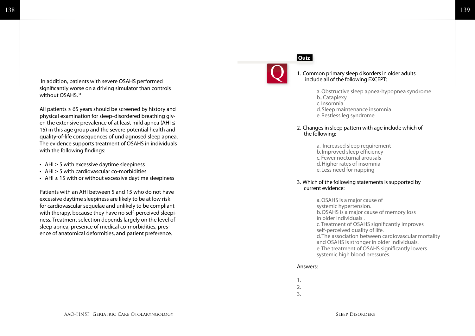In addition, patients with severe OSAHS performed significantly worse on a driving simulator than controls without OSAHS.31

All patients  $\geq 65$  years should be screened by history and physical examination for sleep-disordered breathing given the extensive prevalence of at least mild apnea (AHI ≤ 15) in this age group and the severe potential health and quality-of-life consequences of undiagnosed sleep apnea. The evidence supports treatment of OSAHS in individuals with the following findings:

- AHI ≥ 5 with excessive daytime sleepiness
- AHI ≥ 5 with cardiovascular co-morbidities
- AHI  $\geq$  15 with or without excessive daytime sleepiness

Patients with an AHI between 5 and 15 who do not have excessive daytime sleepiness are likely to be at low risk for cardiovascular sequelae and unlikely to be compliant with therapy, because they have no self-perceived sleepiness. Treatment selection depends largely on the level of sleep apnea, presence of medical co-morbidities, presence of anatomical deformities, and patient preference.

# **Quiz**



#### 1. Common primary sleep disorders in older adults include all of the following EXCEPT:

- a. Obstructive sleep apnea-hypopnea syndrome b.. Cataplexy c. Insomnia d. Sleep maintenance insomnia e. Restless leg syndrome
- 2. Changes in sleep pattern with age include which of the following:
	- a. Increased sleep requirement b. Improved sleep efficiency c. Fewer nocturnal arousals d. Higher rates of insomnia e. Less need for napping

#### 3. Which of the following statements is supported by current evidence:

 a. OSAHS is a major cause of systemic hypertension. b. OSAHS is a major cause of memory loss in older individuals . c. Treatment of OSAHS significantly improves self-perceived quality of life. d. The association between cardiovascular mortality and OSAHS is stronger in older individuals. e. The treatment of OSAHS significantly lowers systemic high blood pressures.

#### Answers:

1. 2. 3.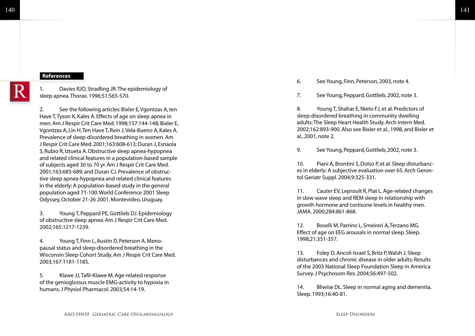# 141

# **References**

1. Davies RJO, Stradling JR. The epidemiology of sleep apnea. Thorax. 1996;51:S65-S70. The See Young, Finn, Peterson, 2003, note 4.<br>
1. Davies RJO, Stradling JR. The epidemiology of<br>
sleep apnea. Thorax. 1996;51:S65-S70.<br>
1. See Young, Peppard, Gottlieb, 2002, not

2. See the following articles: Bixler E, Vgontzas A, ten Have T, Tyson K, Kales A. Effects of age on sleep apnea in men. Am J Respir Crit Care Med. 1998;157:144-148; Bixler E, Vgontzas A, Lin H, Ten Have T, Rein J, Vela-Bueno A, Kales A. Prevalence of sleep-disordered breathing in women. Am J Respir Crit Care Med. 2001;163:608-613; Duran J, Esnaola S, Rubio R, Iztueta A. Obstructive sleep apnea-hypopnea and related clinical features in a population-based sample of subjects aged 30 to 70 yr. Am J Respir Crit Care Med. 2001;163:685-689; and Duran CJ. Prevalence of obstructive sleep apnea-hypopnea and related clinical features in the elderly: A population-based study in the general population aged 71-100. World Conference 2001 Sleep Odyssey, October 21-26 2001, Montevideo, Uruguay.

3. Young T, Peppard PE, Gottlieb DJ. Epidemiology of obstructive sleep apnea. Am J Respir Crit Care Med. 2002;165:1217-1239.

4. Young T, Finn L, Austin D, Peterson A. Menopausal status and sleep-disordered breathing in the Wisconsin Sleep Cohort Study. Am J Respir Crit Care Med. 2003;167:1181-1185.

5. Klawe JJ, Tafil-Klawe M. Age-related response of the genioglossus muscle EMG-activity to hypoxia in humans. J Physiol Pharmacol. 2003;54:14-19.

7. See Young, Peppard, Gottlieb, 2002, note 3.

8. Young T, Shahar E, Nieto FJ, et al. Predictors of sleep-disordered breathing in community dwelling adults: The Sleep Heart Health Study. Arch Intern Med. 2002;162:893-900. Also see Bixler et al., 1998, and Bixler et al., 2001, note 2.

9. See Young, Peppard, Gottlieb, 2002, note 3.

10. Piani A, Brontini S, Dolso P, et al. Sleep disturbances in elderly: A subjective evaluation over 65. Arch Gerontol Geriatr Suppl. 2004;9:325-331.

11. Cauter EV, Leproult R, Plat L. Age-related changes in slow wave sleep and REM sleep in relationship with growth hormone and cortisone levels in healthy men. JAMA. 2000;284:861-868.

12. Boselli M, Parrino L, Smeireri A, Terzano MG. Effect of age on EEG arousals in normal sleep. Sleep. 1998;21:351-357.

13. Foley D, Ancoli-Israel S, Britz P, Walsh J. Sleep disturbances and chronic disease in older adults: Results of the 2003 National Sleep Foundation Sleep in America Survey. J Psychosom Res. 2004;56:497-502.

14. Bliwise DL. Sleep in normal aging and dementia. Sleep. 1993;16:40-81.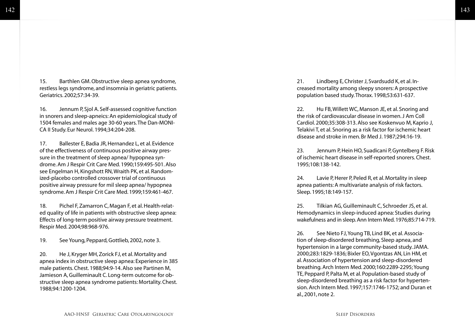15. Barthlen GM. Obstructive sleep apnea syndrome, restless legs syndrome, and insomnia in geriatric patients. Geriatrics. 2002;57:34-39.

16. Jennum P, Sjol A. Self-assessed cognitive function in snorers and sleep-apneics: An epidemiological study of 1504 females and males age 30-60 years. The Dan-MONI-CA II Study. Eur Neurol. 1994;34:204-208.

17. Ballester E, Badia JR, Hernandez L, et al. Evidence of the effectiveness of continuous positive airway pressure in the treatment of sleep apnea/ hypopnea syndrome. Am J Respir Crit Care Med. 1990;159:495-501. Also see Engelman H, Kingshott RN, Wraith PK, et al. Randomized-placebo controlled crossover trial of continuous positive airway pressure for mil sleep apnea/ hypopnea syndrome. Am J Respir Crit Care Med. 1999;159:461-467.

18. Pichel F, Zamarron C, Magan F, et al. Health-related quality of life in patients with obstructive sleep apnea: Effects of long-term positive airway pressure treatment. Respir Med. 2004;98:968-976.

19. See Young, Peppard, Gottlieb, 2002, note 3.

20. He J, Kryger MH, Zorick FJ, et al. Mortality and apnea index in obstructive sleep apnea: Experience in 385 male patients. Chest. 1988;94:9-14. Also see Partinen M, Jamieson A, Guilleminault C. Long-term outcome for obstructive sleep apnea syndrome patients: Mortality. Chest. 1988;94:1200-1204.

21. Lindberg E, Christer J, Svardsudd K, et al. Increased mortality among sleepy snorers: A prospective population based study. Thorax. 1998;53:631-637.

22. Hu FB, Willett WC, Manson JE, et al. Snoring and the risk of cardiovascular disease in women. J Am Coll Cardiol. 2000;35:308-313. Also see Koskenvuo M, Kaprio J, Telakivi T, et al. Snoring as a risk factor for ischemic heart disease and stroke in men. Br Med J. 1987;294:16-19.

23. Jennum P, Hein HO, Suadicani P, Gyntelberg F. Risk of ischemic heart disease in self-reported snorers. Chest. 1995;108:138-142.

24. Lavie P, Herer P, Peled R, et al. Mortality in sleep apnea patients: A multivariate analysis of risk factors. Sleep. 1995;18:149-157.

25. Tilkian AG, Guilleminault C, Schroeder JS, et al. Hemodynamics in sleep-induced apnea: Studies during wakefulness and in sleep. Ann Intern Med. 1976;85:714-719.

26. See Nieto FJ, Young TB, Lind BK, et al. Association of sleep-disordered breathing, Sleep apnea, and hypertension in a large community-based study. JAMA. 2000;283:1829-1836; Bixler EO, Vgontzas AN, Lin HM, et al. Association of hypertension and sleep-disordered breathing. Arch Intern Med. 2000;160:2289-2295; Young TE, Peppard P, Palta M, et al. Population-based study of sleep-disordered breathing as a risk factor for hypertension. Arch Intern Med. 1997;157:1746-1752; and Duran et al., 2001, note 2.